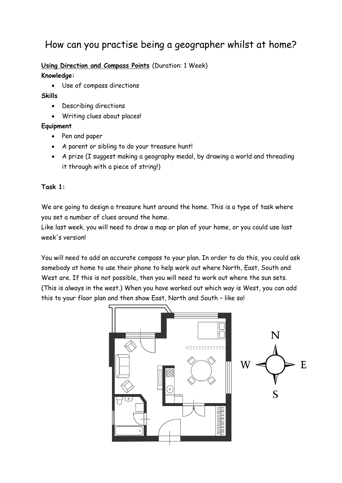# How can you practise being a geographer whilst at home?

## **Using Direction and Compass Points** (Duration: 1 Week)

#### **Knowledge:**

Use of compass directions

#### **Skills**

- Describing directions
- Writing clues about places!

## **Equipment**

- Pen and paper
- A parent or sibling to do your treasure hunt!
- A prize (I suggest making a geography medal, by drawing a world and threading it through with a piece of string!)

## **Task 1:**

We are going to design a treasure hunt around the home. This is a type of task where you set a number of clues around the home.

Like last week, you will need to draw a map or plan of your home, or you could use last week's version!

You will need to add an accurate compass to your plan. In order to do this, you could ask somebody at home to use their phone to help work out where North, East, South and West are. If this is not possible, then you will need to work out where the sun sets. (This is always in the west.) When you have worked out which way is West, you can add this to your floor plan and then show East, North and South – like so!